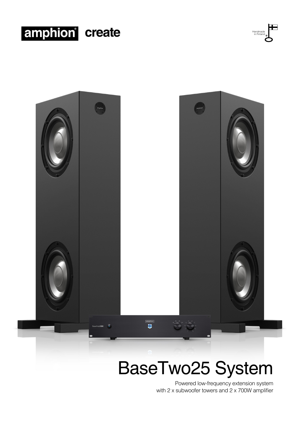





## BaseTwo25 System

Powered low-frequency extension system with 2 x subwoofer towers and 2 x 700W amplifier